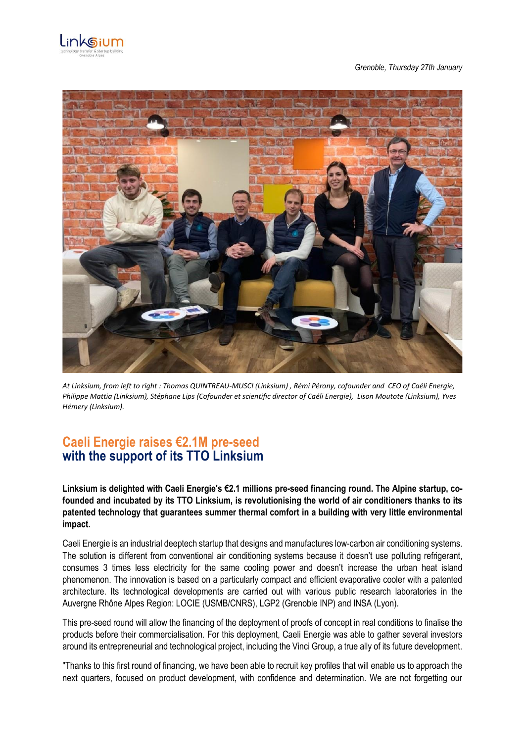

*Grenoble, Thursday 27th January*



*At Linksium, from left to right : Thomas QUINTREAU-MUSCI (Linksium) , Rémi Pérony, cofounder and CEO of Caéli Energie, Philippe Mattia (Linksium), Stéphane Lips (Cofounder et scientific director of Caéli Energie), Lison Moutote (Linksium), Yves Hémery (Linksium).* 

## **Caeli Energie raises €2.1M pre-seed with the support of its TTO Linksium**

**Linksium is delighted with Caeli Energie's €2.1 millions pre-seed financing round. The Alpine startup, cofounded and incubated by its TTO Linksium, is revolutionising the world of air conditioners thanks to its patented technology that guarantees summer thermal comfort in a building with very little environmental impact.**

Caeli Energie is an industrial deeptech startup that designs and manufactures low-carbon air conditioning systems. The solution is different from conventional air conditioning systems because it doesn't use polluting refrigerant, consumes 3 times less electricity for the same cooling power and doesn't increase the urban heat island phenomenon. The innovation is based on a particularly compact and efficient evaporative cooler with a patented architecture. Its technological developments are carried out with various public research laboratories in the Auvergne Rhône Alpes Region: LOCIE (USMB/CNRS), LGP2 (Grenoble INP) and INSA (Lyon).

This pre-seed round will allow the financing of the deployment of proofs of concept in real conditions to finalise the products before their commercialisation. For this deployment, Caeli Energie was able to gather several investors around its entrepreneurial and technological project, including the Vinci Group, a true ally of its future development.

"Thanks to this first round of financing, we have been able to recruit key profiles that will enable us to approach the next quarters, focused on product development, with confidence and determination. We are not forgetting our